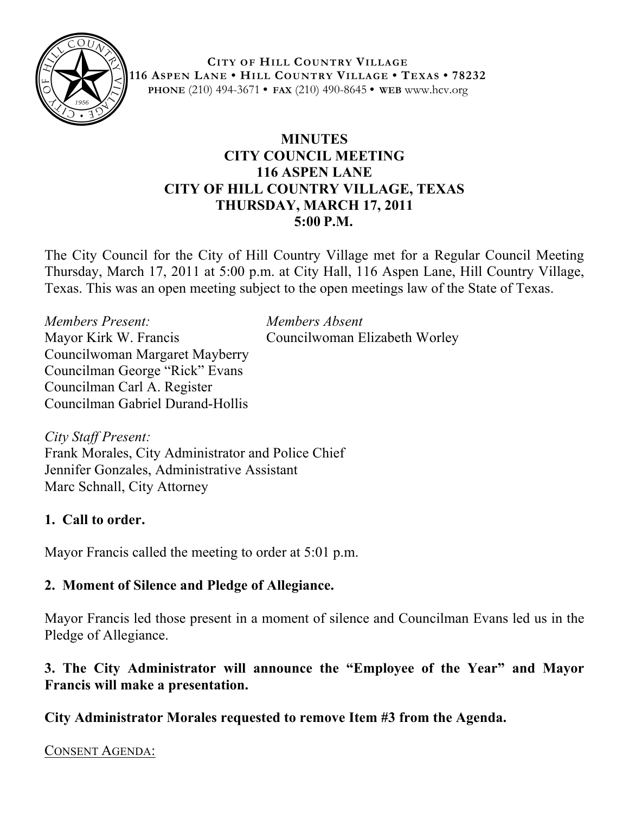

**CITY OF HILL COUNTRY VILLAGE 116 ASPEN LANE • HILL COUNTRY VILLAGE • TEXAS • 78232 PHONE** (210) 494-3671 **• FAX** (210) 490-8645 **• WEB** www.hcv.org

## **MINUTES CITY COUNCIL MEETING 116 ASPEN LANE CITY OF HILL COUNTRY VILLAGE, TEXAS THURSDAY, MARCH 17, 2011 5:00 P.M.**

The City Council for the City of Hill Country Village met for a Regular Council Meeting Thursday, March 17, 2011 at 5:00 p.m. at City Hall, 116 Aspen Lane, Hill Country Village, Texas. This was an open meeting subject to the open meetings law of the State of Texas.

*Members Present: Members Absent* Mayor Kirk W. Francis Councilwoman Elizabeth Worley Councilwoman Margaret Mayberry Councilman George "Rick" Evans Councilman Carl A. Register Councilman Gabriel Durand-Hollis

*City Staff Present:* Frank Morales, City Administrator and Police Chief Jennifer Gonzales, Administrative Assistant Marc Schnall, City Attorney

## **1. Call to order.**

Mayor Francis called the meeting to order at 5:01 p.m.

## **2. Moment of Silence and Pledge of Allegiance.**

Mayor Francis led those present in a moment of silence and Councilman Evans led us in the Pledge of Allegiance.

## **3. The City Administrator will announce the "Employee of the Year" and Mayor Francis will make a presentation.**

**City Administrator Morales requested to remove Item #3 from the Agenda.** 

CONSENT AGENDA: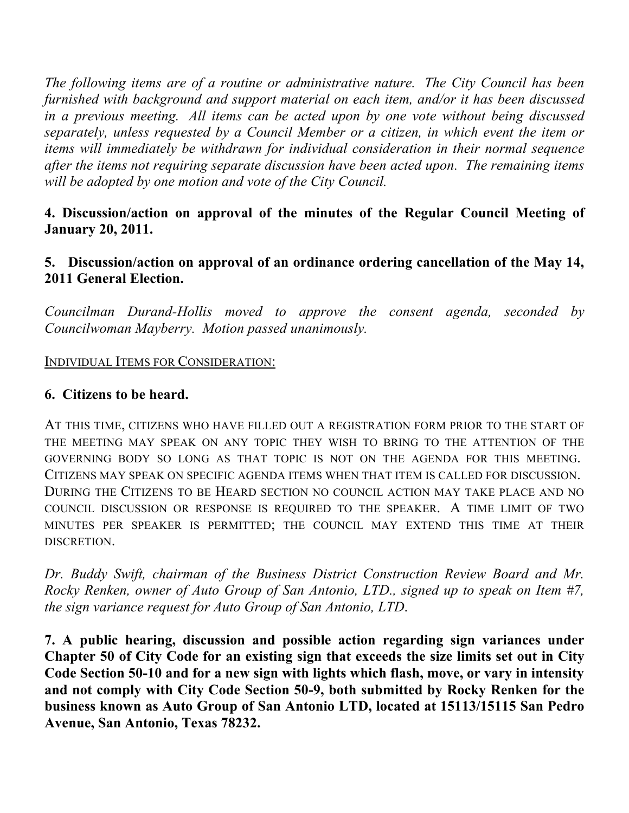*The following items are of a routine or administrative nature. The City Council has been furnished with background and support material on each item, and/or it has been discussed in a previous meeting. All items can be acted upon by one vote without being discussed separately, unless requested by a Council Member or a citizen, in which event the item or items will immediately be withdrawn for individual consideration in their normal sequence after the items not requiring separate discussion have been acted upon. The remaining items will be adopted by one motion and vote of the City Council.*

## **4. Discussion/action on approval of the minutes of the Regular Council Meeting of January 20, 2011.**

## **5. Discussion/action on approval of an ordinance ordering cancellation of the May 14, 2011 General Election.**

*Councilman Durand-Hollis moved to approve the consent agenda, seconded by Councilwoman Mayberry. Motion passed unanimously.*

#### INDIVIDUAL ITEMS FOR CONSIDERATION:

### **6. Citizens to be heard.**

AT THIS TIME, CITIZENS WHO HAVE FILLED OUT A REGISTRATION FORM PRIOR TO THE START OF THE MEETING MAY SPEAK ON ANY TOPIC THEY WISH TO BRING TO THE ATTENTION OF THE GOVERNING BODY SO LONG AS THAT TOPIC IS NOT ON THE AGENDA FOR THIS MEETING. CITIZENS MAY SPEAK ON SPECIFIC AGENDA ITEMS WHEN THAT ITEM IS CALLED FOR DISCUSSION. DURING THE CITIZENS TO BE HEARD SECTION NO COUNCIL ACTION MAY TAKE PLACE AND NO COUNCIL DISCUSSION OR RESPONSE IS REQUIRED TO THE SPEAKER. A TIME LIMIT OF TWO MINUTES PER SPEAKER IS PERMITTED; THE COUNCIL MAY EXTEND THIS TIME AT THEIR DISCRETION.

*Dr. Buddy Swift, chairman of the Business District Construction Review Board and Mr. Rocky Renken, owner of Auto Group of San Antonio, LTD., signed up to speak on Item #7, the sign variance request for Auto Group of San Antonio, LTD*.

**7. A public hearing, discussion and possible action regarding sign variances under Chapter 50 of City Code for an existing sign that exceeds the size limits set out in City Code Section 50-10 and for a new sign with lights which flash, move, or vary in intensity and not comply with City Code Section 50-9, both submitted by Rocky Renken for the business known as Auto Group of San Antonio LTD, located at 15113/15115 San Pedro Avenue, San Antonio, Texas 78232.**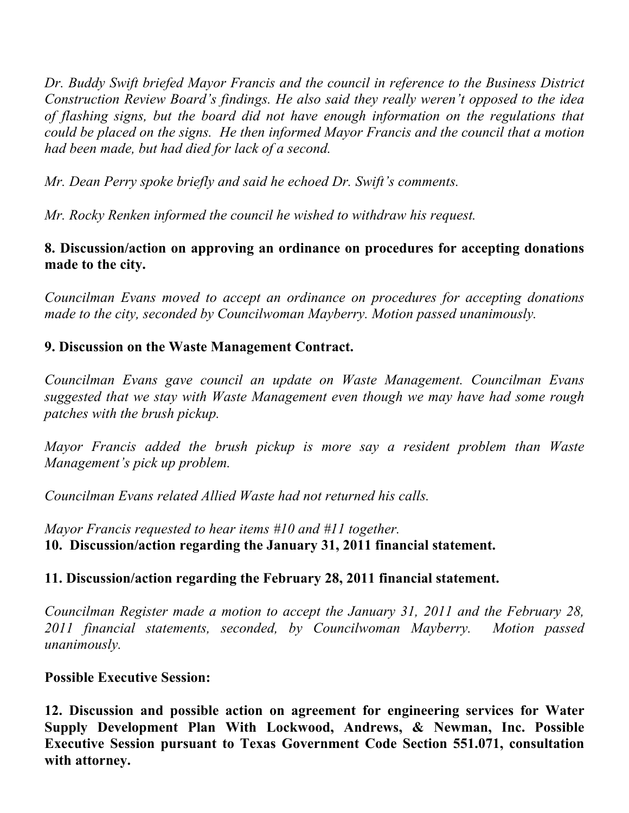*Dr. Buddy Swift briefed Mayor Francis and the council in reference to the Business District Construction Review Board's findings. He also said they really weren't opposed to the idea of flashing signs, but the board did not have enough information on the regulations that could be placed on the signs. He then informed Mayor Francis and the council that a motion had been made, but had died for lack of a second.*

*Mr. Dean Perry spoke briefly and said he echoed Dr. Swift's comments.*

*Mr. Rocky Renken informed the council he wished to withdraw his request.*

# **8. Discussion/action on approving an ordinance on procedures for accepting donations made to the city.**

*Councilman Evans moved to accept an ordinance on procedures for accepting donations made to the city, seconded by Councilwoman Mayberry. Motion passed unanimously.*

## **9. Discussion on the Waste Management Contract.**

*Councilman Evans gave council an update on Waste Management. Councilman Evans suggested that we stay with Waste Management even though we may have had some rough patches with the brush pickup.* 

*Mayor Francis added the brush pickup is more say a resident problem than Waste Management's pick up problem.* 

*Councilman Evans related Allied Waste had not returned his calls.*

*Mayor Francis requested to hear items #10 and #11 together.* **10. Discussion/action regarding the January 31, 2011 financial statement.**

## **11. Discussion/action regarding the February 28, 2011 financial statement.**

*Councilman Register made a motion to accept the January 31, 2011 and the February 28, 2011 financial statements, seconded, by Councilwoman Mayberry. Motion passed unanimously.*

## **Possible Executive Session:**

**12. Discussion and possible action on agreement for engineering services for Water Supply Development Plan With Lockwood, Andrews, & Newman, Inc. Possible Executive Session pursuant to Texas Government Code Section 551.071, consultation with attorney.**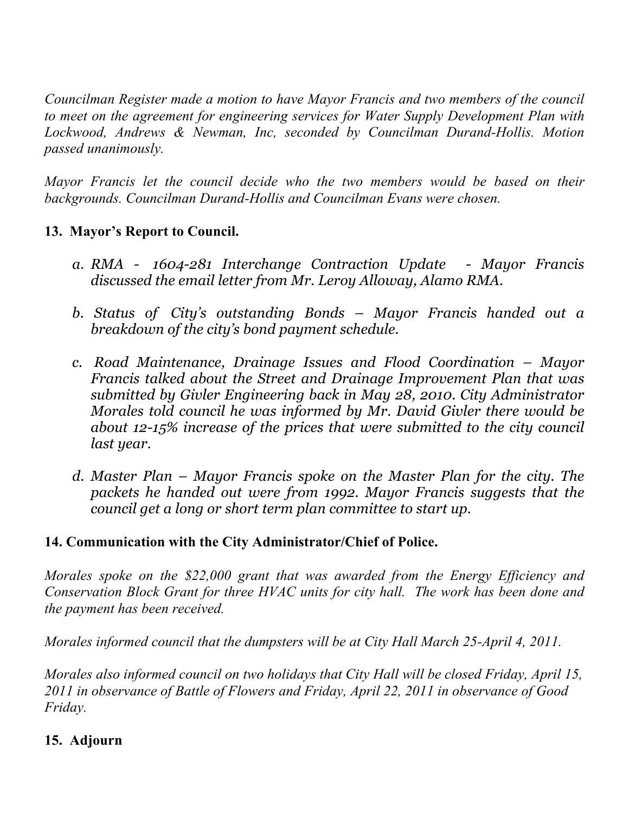*Councilman Register made a motion to have Mayor Francis and two members of the council to meet on the agreement for engineering services for Water Supply Development Plan with Lockwood, Andrews & Newman, Inc, seconded by Councilman Durand-Hollis. Motion passed unanimously.* 

*Mayor Francis let the council decide who the two members would be based on their backgrounds. Councilman Durand-Hollis and Councilman Evans were chosen.*

## **13. Mayor's Report to Council.**

- *a. RMA 1604-281 Interchange Contraction Update Mayor Francis discussed the email letter from Mr. Leroy Alloway, Alamo RMA.*
- *b. Status of City's outstanding Bonds Mayor Francis handed out a breakdown of the city's bond payment schedule.*
- *c. Road Maintenance, Drainage Issues and Flood Coordination – Mayor Francis talked about the Street and Drainage Improvement Plan that was submitted by Givler Engineering back in May 28, 2010. City Administrator Morales told council he was informed by Mr. David Givler there would be about 12-15% increase of the prices that were submitted to the city council last year.*
- *d. Master Plan Mayor Francis spoke on the Master Plan for the city. The packets he handed out were from 1992. Mayor Francis suggests that the council get a long or short term plan committee to start up.*

## **14. Communication with the City Administrator/Chief of Police.**

*Morales spoke on the \$22,000 grant that was awarded from the Energy Efficiency and Conservation Block Grant for three HVAC units for city hall. The work has been done and the payment has been received.*

*Morales informed council that the dumpsters will be at City Hall March 25-April 4, 2011.*

*Morales also informed council on two holidays that City Hall will be closed Friday, April 15, 2011 in observance of Battle of Flowers and Friday, April 22, 2011 in observance of Good Friday.*

## **15. Adjourn**